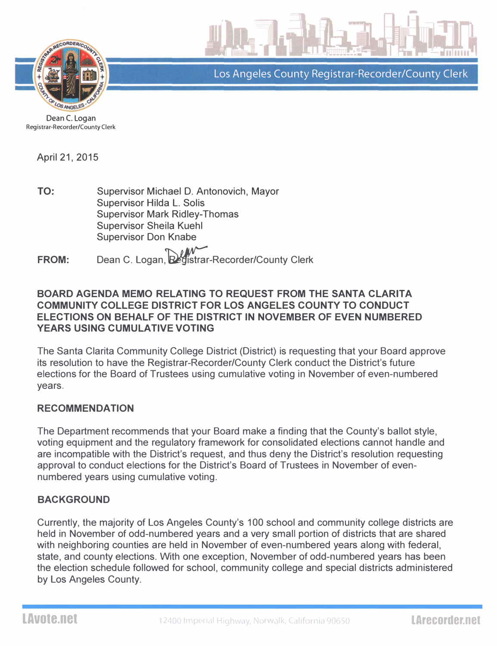

Los Angeles County Registrar-Recorder/County Clerk

Dean C. Logan Registrar-Recorder/County Clerk

April 21, 2015

TO: Supervisor Michael D. Antonovich, Mayor Supervisor Hilda L. Solis Supervisor Mark Ridley-Thomas Supervisor Sheila Kuehl Supervisor Don Knabe

FROM: Dean C. Logan, Registrar-Recorder/County Clerk

#### BOARD AGENDA MEMO RELATING TO REQUEST FROM THE SANTA CLARITA COMMUNITY COLLEGE DISTRICT FOR LOS ANGELES COUNTY TO CONDUCT ELECTIONS ON BEHALF OF THE DISTRICT IN NOVEMBER OF EVEN NUMBERED YEARS USING CUMULATIVE VOTING

The Santa Clarita Community College District (District) is requesting that your Board approve its resolution to have the Registrar-Recorder/County Clerk conduct the District's future elections for the Board of Trustees using cumulative voting in November of even-numbered years.

#### RECOMMENDATION

The Department recommends that your Board make a finding that the County's ballot style, voting equipment and the regulatory framework for consolidated elections cannot handle and are incompatible with the District's request, and thus deny the District's resolution requesting approval to conduct elections for the District's Board of Trustees in November of evennumbered years using cumulative voting.

## BACKGROUND

Currently, the majority of Los Angeles County's 100 school and community college districts are held in November of odd-numbered years and a very small portion of districts that are shared with neighboring counties are held in November of even-numbered vears along with federal. state, and county elections. With one exception, November of odd-numbered years has been the election schedule followed for school, community college and special districts administered by Los Angeles County.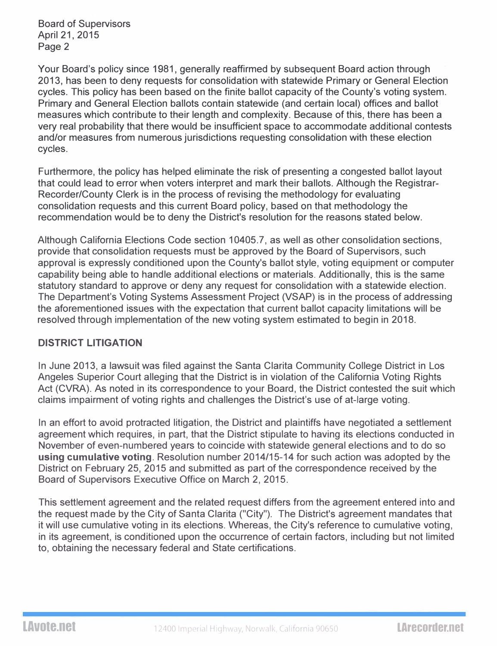Board of Supervisors April 21, 2015 Page 2

Your Board's policy since 1981, generally reaffirmed by subsequent Board action through 2013, has been to deny requests for consolidation with statewide Primary or General Election cycles. This policy has been based on the finite ballot capacity of the County's voting system. Primary and General Election ballots contain statewide (and certain local) offices and ballot measures which contribute to their length and complexity. Because of this, there has been a very real probability that there would be insufficient space to accommodate additional contests and/or measures from numerous jurisdictions requesting consolidation with these election cycles.

Furthermore, the policy has helped eliminate the risk of presenting a congested ballot layout that could lead to error when voters interpret and mark their ballots. Although the Registrar-Recorder/County Clerk is in the process of revising the methodology for evaluating consolidation requests and this current Board policy, based on that methodology the recommendation would be to deny the District's resolution for the reasons stated below.

Although California Elections Code section 10405.7, as well as other consolidation sections, provide that consolidation requests must be approved by the Board of Supervisors, such approval is expressly conditioned upon the County's ballot style, voting equipment or computer capability being able to handle additional elections or materials. Additionally, this is the same statutory standard to approve or deny any request for consolidation with a statewide election. The Department's Voting Systems Assessment Project (VSAP) is in the process of addressing the aforementioned issues with the expectation that current ballot capacity limitations will be resolved through implementation of the new voting system estimated to begin in 2018.

## DISTRICT LITIGATION

In June 2013, a lawsuit was filed against the Santa Clarita Community College District in Los Angeles Superior Court alleging that the District is in violation of the California Voting Rights Act (CVRA). As noted in its correspondence to your Board, the District contested the suit which claims impairment of voting rights and challenges the District's use of at-large voting.

In an effort to avoid protracted litigation, the District and plaintiffs have negotiated a settlement agreement which requires, in part, that the District stipulate to having its elections conducted in November of even-numbered years to coincide with statewide general elections and to do so using cumulative voting. Resolution number 2014/15-14 for such action was adopted by the District on February 25, 2015 and submitted as part of the correspondence received by the Board of Supervisors Executive Office on March 2, 2015.

This settlement agreement and the related request differs from the agreement entered into and the request made by the City of Santa Clarita ("City"). The District's agreement mandates that it will use cumulative voting in its elections. Whereas, the City's reference to cumulative voting, in its agreement, is conditioned upon the occurrence of certain factors, including but not limited to, obtaining the necessary federal and State certifications.